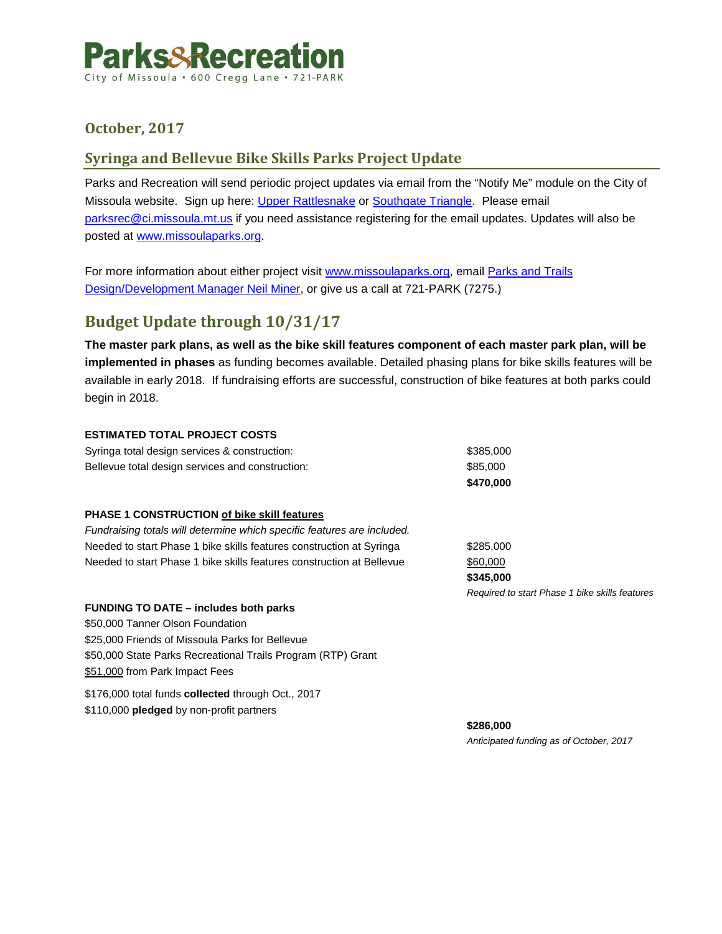

# **October, 2017**

## **Syringa and Bellevue Bike Skills Parks Project Update**

Parks and Recreation will send periodic project updates via email from the "Notify Me" module on the City of Missoula website. Sign up here: [Upper Rattlesnake](https://www.ci.missoula.mt.us/list.aspx?ListID=290) or [Southgate Triangle.](https://www.ci.missoula.mt.us/list.aspx?ListID=288) Please email [parksrec@ci.missoula.mt.us](mailto:parksrec@ci.missoula.mt.us) if you need assistance registering for the email updates. Updates will also be posted at [www.missoulaparks.org.](https://www.ci.missoula.mt.us/176/Neighborhood-Park-Projects)

For more information about either project visit [www.missoulaparks.org,](https://www.ci.missoula.mt.us/176/Neighborhood-Park-Projects) email [Parks and Trails](mailto:nminer@ci.missoula.mt.us?subject=Bike%20Skills%20Parks)  [Design/Development Manager Neil Miner,](mailto:nminer@ci.missoula.mt.us?subject=Bike%20Skills%20Parks) or give us a call at 721-PARK (7275.)

# **Budget Update through 10/31/17**

**The master park plans, as well as the bike skill features component of each master park plan, will be implemented in phases** as funding becomes available. Detailed phasing plans for bike skills features will be available in early 2018. If fundraising efforts are successful, construction of bike features at both parks could begin in 2018.

### **ESTIMATED TOTAL PROJECT COSTS**

| \$470,000 |
|-----------|
| \$85,000  |
| \$385.000 |
|           |

### **PHASE 1 CONSTRUCTION of bike skill features**

*Fundraising totals will determine which specific features are included.* Needed to start Phase 1 bike skills features construction at Syringa  $$285,000$ Needed to start Phase 1 bike skills features construction at Bellevue  $$60,000$ 

**\$345,000** *Required to start Phase 1 bike skills features*

### **FUNDING TO DATE – includes both parks**

\$50,000 Tanner Olson Foundation \$25,000 Friends of Missoula Parks for Bellevue \$50,000 State Parks Recreational Trails Program (RTP) Grant \$51,000 from Park Impact Fees

\$176,000 total funds **collected** through Oct., 2017 \$110,000 **pledged** by non-profit partners

> **\$286,000**  *Anticipated funding as of October, 2017*